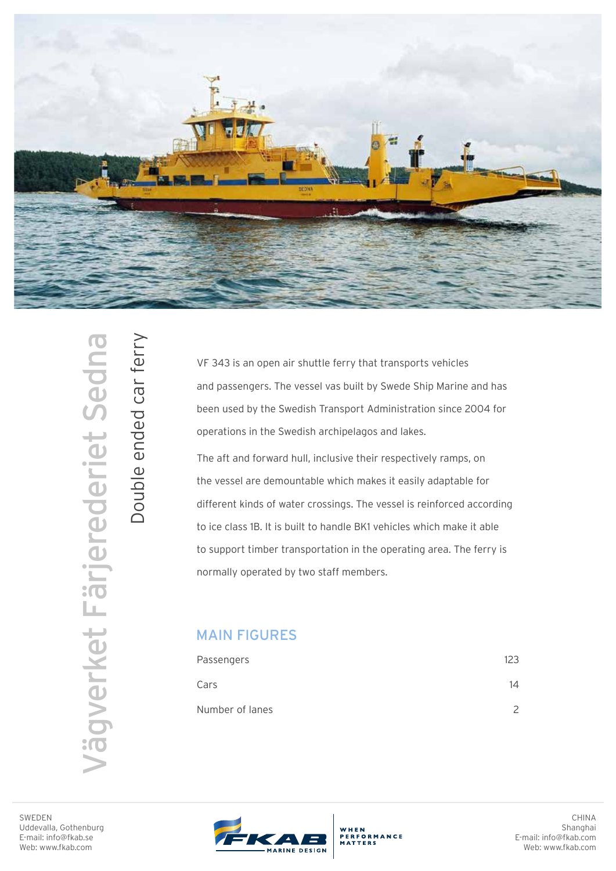

**/ägverket Färjerederiet Sedna** Vägverket Färjerederiet Sedna

Double ended car ferry

Double ended car ferry

VF 343 is an open air shuttle ferry that transports vehicles and passengers. The vessel vas built by Swede Ship Marine and has been used by the Swedish Transport Administration since 2004 for operations in the Swedish archipelagos and lakes.

The aft and forward hull, inclusive their respectively ramps, on the vessel are demountable which makes it easily adaptable for different kinds of water crossings. The vessel is reinforced according to ice class 1B. It is built to handle BK1 vehicles which make it able to support timber transportation in the operating area. The ferry is normally operated by two staff members.

## MAIN FIGURES

| Passengers      | 123 |
|-----------------|-----|
| Cars            | 14  |
| Number of lanes |     |

SWEDEN Uddevalla, Gothenburg E-mail: info@fkab.se Web: www.fkab.com



WHEN<br>PERFORMANCE<br>MATTERS

CHINA Shanghai E-mail: info@fkab.com Web: www.fkab.com